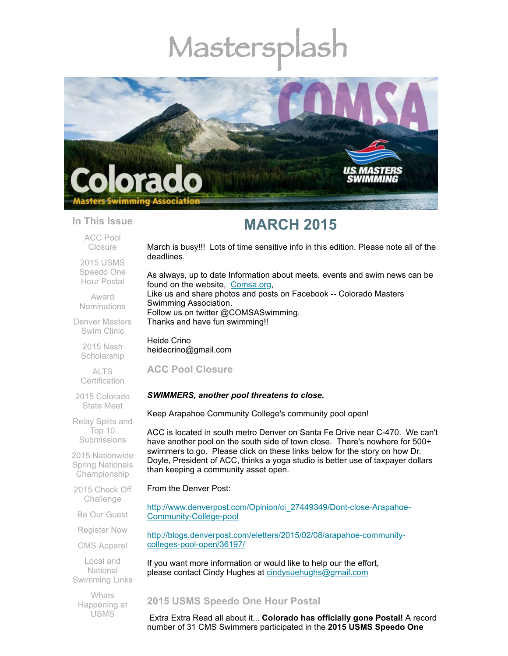# Mastersp



#### **In This Issue**

# **MARCH 2015**

ACC Pool **[Closure](#page-0-0)** 

2015 USMS [Speedo](#page-0-1) One Hour Postal

Award [Nominations](#page-2-0)

Denver [Masters](#page-2-1) Swim Clinic

> 2015 Nash **[Scholarship](#page-2-2)**

ALTS **[Certification](#page-3-0)** 

2015 [Colorado](#page-4-0) State Meet

Relay Splits and Top 10 [Submissions](#page-8-0)

2015 Nationwide Spring Nationals [Championship](#page-9-0)

2015 Check Off **[Challenge](#page-9-1)** 

Be Our [Guest](#page-10-0)

[Register](#page-10-1) Now

CMS [Apparel](#page-11-0)

Local and **National** [Swimming](#page-11-1) Links

**Whats** [Happening](#page-11-2) at USMS

March is busy!!! Lots of time sensitive info in this edition. Please note all of the deadlines.

As always, up to date Information about meets, events and swim news can be found on the website, [Comsa.org](http://comsa.org/), Like us and share photos and posts on Facebook -- Colorado Masters Swimming Association. Follow us on twitter @COMSASwimming. Thanks and have fun swimming!!

Heide Crino heidecrino@gmail.com

<span id="page-0-0"></span>**ACC Pool Closure**

#### *SWIMMERS, another pool threatens to close.*

Keep Arapahoe Community College's community pool open!

ACC is located in south metro Denver on Santa Fe Drive near C-470. We can't have another pool on the south side of town close. There's nowhere for 500+ swimmers to go. Please click on these links below for the story on how Dr. Doyle, President of ACC, thinks a yoga studio is better use of taxpayer dollars than keeping a community asset open.

From the Denver Post:

[http://www.denverpost.com/Opinion/ci\\_27449349/Dont-close-Arapahoe-](http://www.denverpost.com/Opinion/ci_27449349/Dont-close-Arapahoe-Community-College-pool)Community-College-pool

[http://blogs.denverpost.com/eletters/2015/02/08/arapahoe-community](http://blogs.denverpost.com/eletters/2015/02/08/arapahoe-community-colleges-pool-open/36197/)colleges-pool-open/36197/

If you want more information or would like to help our the effort, please contact Cindy Hughes at [cindysuehughs@gmail.com](mailto:cindysuehughs@gamil.com)

# <span id="page-0-1"></span>**2015 USMS Speedo One Hour Postal**

Extra Extra Read all about it... **Colorado has officially gone Postal!** A record number of 31 CMS Swimmers participated in the **2015 USMS Speedo One**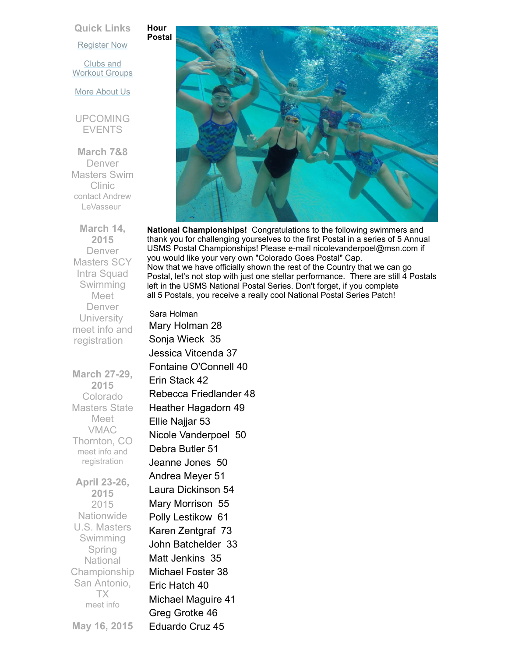#### **Quick Links**

**Hour Postal**

[Register](http://comsa.org/joining/index.html) Now

Clubs and [Workout](http://comsa.org/clubs/index.html) Groups

More [About](http://comsa.org/) Us

UPCOMING **FVENTS** 

**March 7&8** Denver Masters Swim Clinic contact Andrew [LeVasseur](mailto:swimmin4fun@msn.com)

**March 14, 2015 Denver** Masters SCY Intra Squad **Swimming** Meet **Denver University** [meet info and](https://www.clubassistant.com/club/meet_information.cfm?c=1279&smid=6365) registration

**March 27-29, 2015** Colorado Masters State Meet VMAC Thornton, CO meet info and [registration](https://www.clubassistant.com/club/meet_information.cfm?c=1279&smid=6143)

**April 23-26, 2015** 2015 **Nationwide** U.S. Masters **Swimming** Spring **National** Championship San Antonio, TX [meet](http://www.usms.org/content/scnats15meetinfo) info

Sara Holman Mary Holman 28 Sonja Wieck 35 Jessica Vitcenda 37 Fontaine O'Connell 40 Erin Stack 42 Rebecca Friedlander 48 Heather Hagadorn 49 Ellie Najjar 53 Nicole Vanderpoel 50 Debra Butler 51 Jeanne Jones 50 Andrea Meyer 51 Laura Dickinson 54 Mary Morrison 55 Polly Lestikow 61 Karen Zentgraf 73 John Batchelder 33 Matt Jenkins 35 Michael Foster 38 Eric Hatch 40 Michael Maguire 41 Greg Grotke 46 Eduardo Cruz 45

**May 16, 2015**



**National Championships!** Congratulations to the following swimmers and thank you for challenging yourselves to the first Postal in a series of 5 Annual USMS Postal Championships! Please e-mail nicolevanderpoel@msn.com if you would like your very own "Colorado Goes Postal" Cap. Now that we have officially shown the rest of the Country that we can go Postal, let's not stop with just one stellar performance. There are still 4 Postals left in the USMS National Postal Series. Don't forget, if you complete all 5 Postals, you receive a really cool National Postal Series Patch!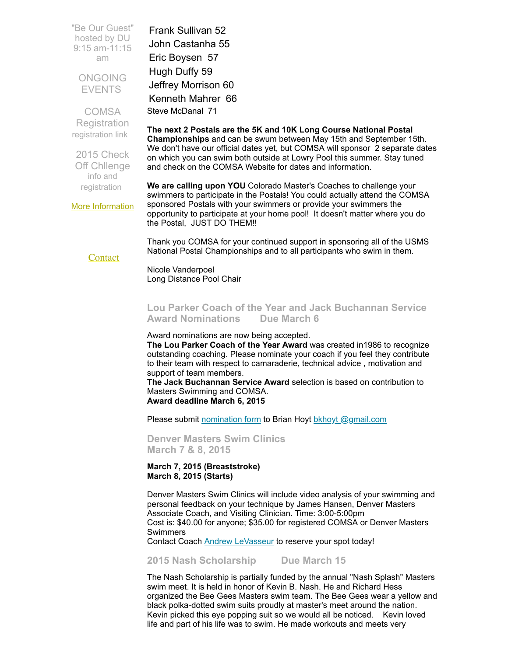"Be Our Guest" hosted by DU 9:15 am-11:15 am

ONGOING EVENTS

COMSA **Registration** [registration](http://www.comsa.org/joining/index.html) link

2015 Check Off Chllenge info and [registration](http://www.usms.org/fitness/content/checkoff)

More [Information](http://www.comsa.org/)

**The next 2 Postals are the 5K and 10K Long Course National Postal Championships** and can be swum between May 15th and September 15th. We don't have our official dates yet, but COMSA will sponsor 2 separate dates on which you can swim both outside at Lowry Pool this summer. Stay tuned and check on the COMSA Website for dates and information.

**We are calling upon YOU** Colorado Master's Coaches to challenge your swimmers to participate in the Postals! You could actually attend the COMSA sponsored Postals with your swimmers or provide your swimmers the opportunity to participate at your home pool! It doesn't matter where you do the Postal, JUST DO THEM!!

Thank you COMSA for your continued support in sponsoring all of the USMS National Postal Championships and to all participants who swim in them.

# [Contact](mailto:heidecrino@gmail.com?)

Nicole Vanderpoel Long Distance Pool Chair

Frank Sullivan 52 John Castanha 55 Eric Boysen 57 Hugh Duffy 59

Jeffrey Morrison 60 Kenneth Mahrer 66 Steve McDanal 71

## <span id="page-2-0"></span>**Lou Parker Coach of the Year and Jack Buchannan Service Award Nominations Due March 6**

Award nominations are now being accepted.

**The Lou Parker Coach of the Year Award** was created in1986 to recognize outstanding coaching. Please nominate your coach if you feel they contribute to their team with respect to camaraderie, technical advice , motivation and support of team members.

**The Jack Buchannan Service Award** selection is based on contribution to Masters Swimming and COMSA. **Award deadline March 6, 2015**

Please submit [nomination](http://www.comsa.org/forms/2015Award%20Nomination%20Form.pdf) form to Brian Hoyt bkhoyt [@gmail.com](mailto:bkhoyt@gmail.com)

<span id="page-2-1"></span>**Denver Masters Swim Clinics March 7 & 8, 2015**

#### **March 7, 2015 (Breaststroke) March 8, 2015 (Starts)**

Denver Masters Swim Clinics will include video analysis of your swimming and personal feedback on your technique by James Hansen, Denver Masters Associate Coach, and Visiting Clinician. Time: 3:00-5:00pm Cost is: \$40.00 for anyone; \$35.00 for registered COMSA or Denver Masters Swimmers

Contact Coach Andrew [LeVasseur](mailto:swimmin4fun@msn.com) to reserve your spot today!

<span id="page-2-2"></span>**2015 Nash Scholarship Due March 15**

The Nash Scholarship is partially funded by the annual "Nash Splash" Masters swim meet. It is held in honor of Kevin B. Nash. He and Richard Hess organized the Bee Gees Masters swim team. The Bee Gees wear a yellow and black polka-dotted swim suits proudly at master's meet around the nation. Kevin picked this eye popping suit so we would all be noticed. Kevin loved life and part of his life was to swim. He made workouts and meets very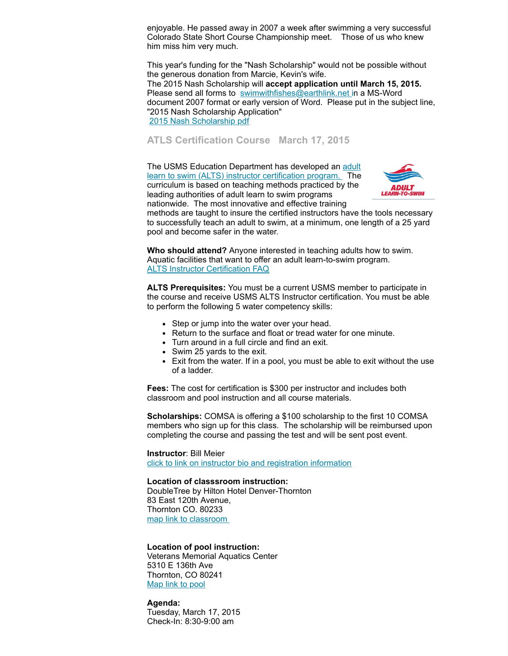enjoyable. He passed away in 2007 a week after swimming a very successful Colorado State Short Course Championship meet. Those of us who knew him miss him very much.

This year's funding for the "Nash Scholarship" would not be possible without the generous donation from Marcie, Kevin's wife. The 2015 Nash Scholarship will **accept application until March 15, 2015.** Please send all forms to [swimwithfishes@earthlink.net](mailto:swimwithfishes@earthlink.net) in a MS-Word document 2007 format or early version of Word. Please put in the subject line, "2015 Nash Scholarship Application" 2015 Nash [Scholarship](https://files.ctctcdn.com/97cb2c13201/af38cae6-57f0-40e5-adef-021cb1b4827a.pdf) pdf

#### <span id="page-3-0"></span>**ATLS Certification Course March 17, 2015**

The USMS Education [Department](https://www.usms.org/content/alts_cert) has developed an adult learn to swim (ALTS) instructor certification program. The curriculum is based on teaching methods practiced by the leading authorities of adult learn to swim programs nationwide. The most innovative and effective training



methods are taught to insure the certified instructors have the tools necessary to successfully teach an adult to swim, at a minimum, one length of a 25 yard pool and become safer in the water.

**Who should attend?** Anyone interested in teaching adults how to swim. Aquatic facilities that want to offer an adult learn-to-swim program. **ALTS Instructor [Certification](https://www.usms.org/content/alts_cert_faq) FAQ** 

**ALTS Prerequisites:** You must be a current USMS member to participate in the course and receive USMS ALTS Instructor certification. You must be able to perform the following 5 water competency skills:

- Step or jump into the water over your head.
- Return to the surface and float or tread water for one minute.
- Turn around in a full circle and find an exit.
- Swim 25 yards to the exit.
- Exit from the water. If in a pool, you must be able to exit without the use of a ladder.

**Fees:** The cost for certification is \$300 per instructor and includes both classroom and pool instruction and all course materials.

**Scholarships:** COMSA is offering a \$100 scholarship to the first 10 COMSA members who sign up for this class. The scholarship will be reimbursed upon completing the course and passing the test and will be sent post event.

**Instructor**: Bill Meier

click to link on instructor bio and [registration](https://www.clubassistant.com/club/clinics/reserve.cfm?c=1758&cid=63527) information

#### **Location of classsroom instruction:**

DoubleTree by Hilton Hotel Denver-Thornton 83 East 120th Avenue, Thornton CO. 80233 map link to [classroom](https://www.google.com/maps/place/DoubleTree+by+Hilton+Hotel+Denver+-+Thornton/@39.91592,-104.987719,17z/data=!3m1!4b1!4m7!1m4!3m3!1s0x876c75cb6158d6e9:0xc45bb8ec234bc049!2sDoubleTree+by+Hilton+Hotel+Denver+-+Thornton!3b1!3m1!1s0x876c75cb6158d6e9:0xc45bb8ec234bc049)

#### **Location of pool instruction:**

Veterans Memorial Aquatics Center 5310 E 136th Ave Thornton, CO 80241 [Map](https://www.google.com/maps/place/Veterans+Memorial+Aquatics+Center/@39.941911,-104.927896,15z/data=!4m2!3m1!1s0x0:0x1bb38c741c5355ec) link to pool

#### **Agenda:**

Tuesday, March 17, 2015 Check-In: 8:30-9:00 am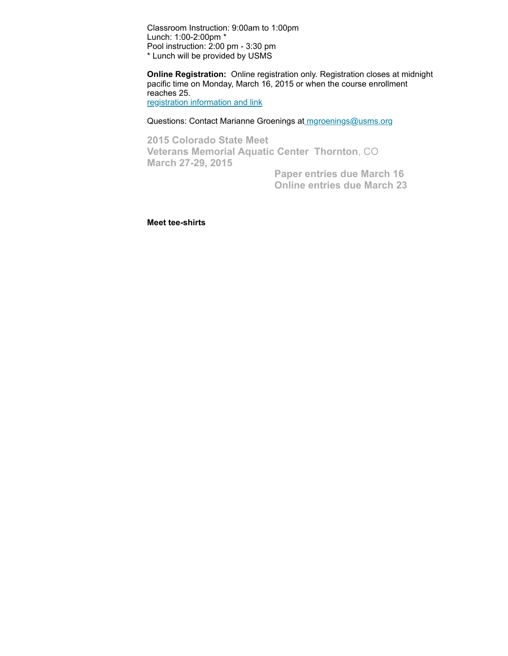Classroom Instruction: 9:00am to 1:00pm Lunch: 1:00-2:00pm \* Pool instruction: 2:00 pm - 3:30 pm \* Lunch will be provided by USMS

**Online Registration:** Online registration only. Registration closes at midnight pacific time on Monday, March 16, 2015 or when the course enrollment reaches 25.

[registration](https://www.clubassistant.com/club/clinics/reserve.cfm?c=1758&cid=63527) information and link

Questions: Contact Marianne Groenings at [mgroenings@usms.org](mailto:mgroenings@usms.org)

<span id="page-4-0"></span>**2015 Colorado State Meet Veterans Memorial Aquatic Center Thornton**, CO **March 27-29, 2015**

 **Paper entries due March 16 Online entries due March 23**

**Meet tee-shirts**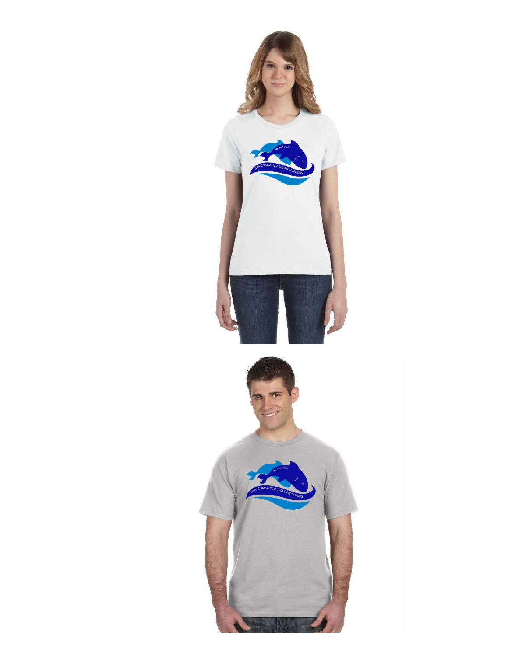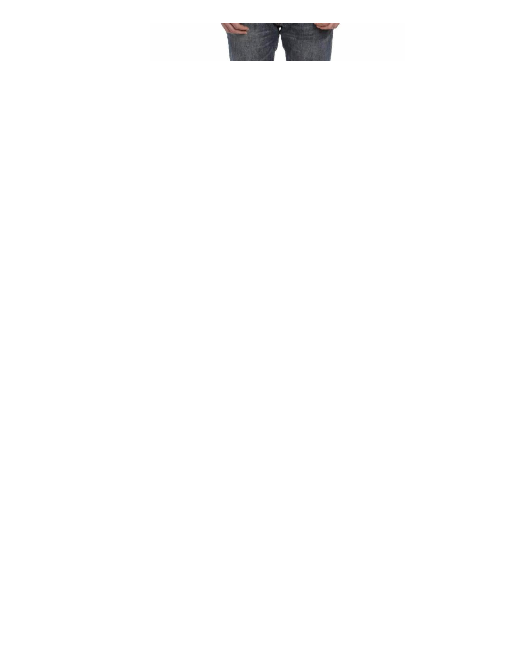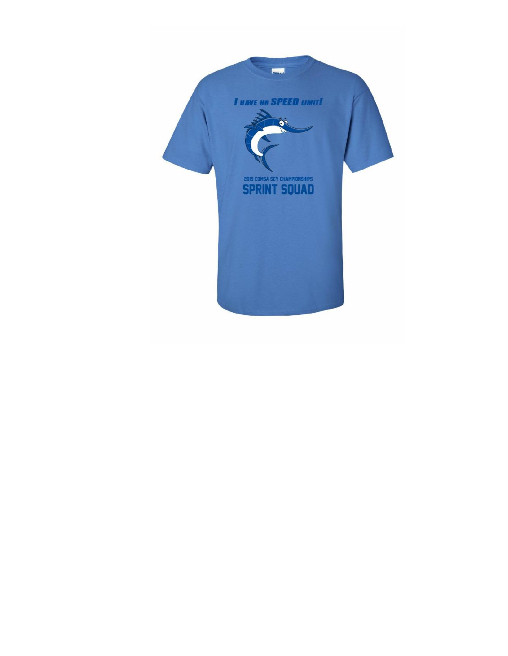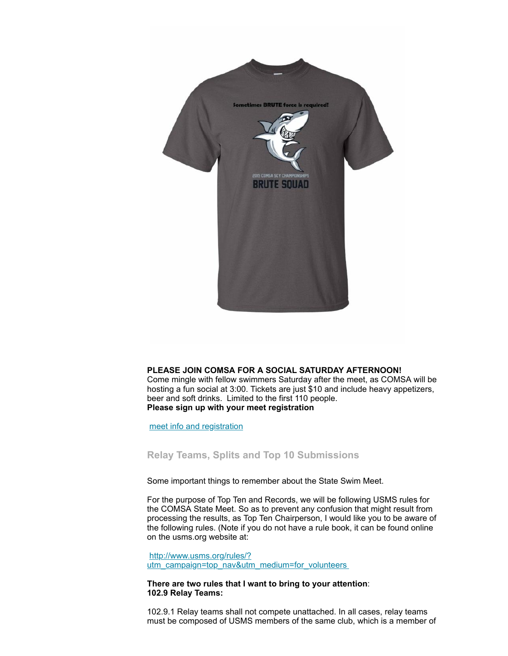

#### **PLEASE JOIN COMSA FOR A SOCIAL SATURDAY AFTERNOON!**

Come mingle with fellow swimmers Saturday after the meet, as COMSA will be hosting a fun social at 3:00. Tickets are just \$10 and include heavy appetizers, beer and soft drinks. Limited to the first 110 people. **Please sign up with your meet registration**

meet info and [registration](https://www.clubassistant.com/club/meet_information.cfm?c=1279&smid=6143)

#### <span id="page-8-0"></span>**Relay Teams, Splits and Top 10 Submissions**

Some important things to remember about the State Swim Meet.

For the purpose of Top Ten and Records, we will be following USMS rules for the COMSA State Meet. So as to prevent any confusion that might result from processing the results, as Top Ten Chairperson, I would like you to be aware of the following rules. (Note if you do not have a rule book, it can be found online on the usms.org website at:

http://www.usms.org/rules/? [utm\\_campaign=top\\_nav&utm\\_medium=for\\_volunteers](http://www.usms.org/rules/?utm_campaign=top_nav&utm_medium=for_volunteers)

#### **There are two rules that I want to bring to your attention**: **102.9 Relay Teams:**

102.9.1 Relay teams shall not compete unattached. In all cases, relay teams must be composed of USMS members of the same club, which is a member of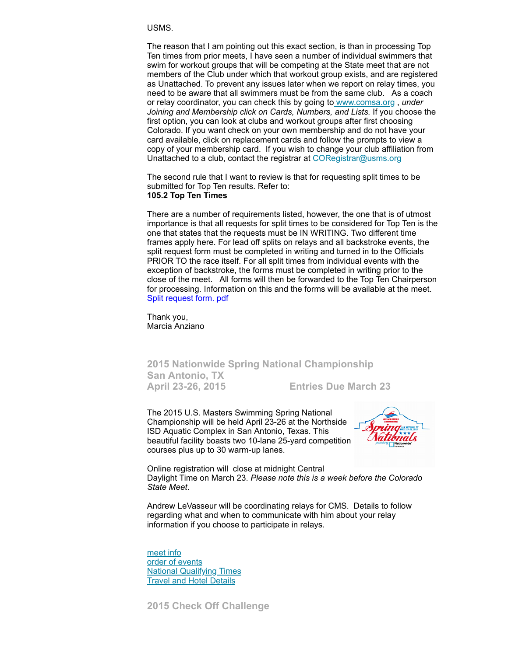#### USMS.

The reason that I am pointing out this exact section, is than in processing Top Ten times from prior meets, I have seen a number of individual swimmers that swim for workout groups that will be competing at the State meet that are not members of the Club under which that workout group exists, and are registered as Unattached. To prevent any issues later when we report on relay times, you need to be aware that all swimmers must be from the same club. As a coach or relay coordinator, you can check this by going to [www.comsa.org](http://www.comsa.org/) , *under Joining and Membership click on Cards, Numbers, and Lists.* If you choose the first option, you can look at clubs and workout groups after first choosing Colorado. If you want check on your own membership and do not have your card available, click on replacement cards and follow the prompts to view a copy of your membership card. If you wish to change your club affiliation from Unattached to a club, contact the registrar at [CORegistrar@usms.org](mailto:CORegistrar@usms.org)

The second rule that I want to review is that for requesting split times to be submitted for Top Ten results. Refer to: **105.2 Top Ten Times**

There are a number of requirements listed, however, the one that is of utmost importance is that all requests for split times to be considered for Top Ten is the one that states that the requests must be IN WRITING. Two different time frames apply here. For lead off splits on relays and all backstroke events, the split request form must be completed in writing and turned in to the Officials PRIOR TO the race itself. For all split times from individual events with the exception of backstroke, the forms must be completed in writing prior to the close of the meet. All forms will then be forwarded to the Top Ten Chairperson for processing. Information on this and the forms will be available at the meet. Split [request](https://files.ctctcdn.com/97cb2c13201/8a904c2b-6afc-4aae-aba3-1a5ada593a50.pdf) form. pdf

Thank you, Marcia Anziano

<span id="page-9-0"></span>**2015 Nationwide Spring National Championship San Antonio, TX April 23-26, 2015 Entries Due March 23**

The 2015 U.S. Masters Swimming Spring National Championship will be held April 23-26 at the Northside ISD Aquatic Complex in San Antonio, Texas. This beautiful facility boasts two 10-lane 25-yard competition courses plus up to 30 warm-up lanes.



Online registration will close at midnight Central Daylight Time on March 23. *Please note this is a week before the Colorado State Meet*.

Andrew LeVasseur will be coordinating relays for CMS. Details to follow regarding what and when to communicate with him about your relay information if you choose to participate in relays.

[meet](http://www.usms.org/content/scnats15meetinfo) info order of [events](http://www.usms.org/comp/meetevents.php?MeetID=20150423SANATSY) National [Qualifying](http://www.usms.org/comp/scnats15/nqt.pdf) Times Travel and Hotel [Details](http://www.usms.org/content/scnats15travelinfo)

<span id="page-9-1"></span>**2015 Check Off Challenge**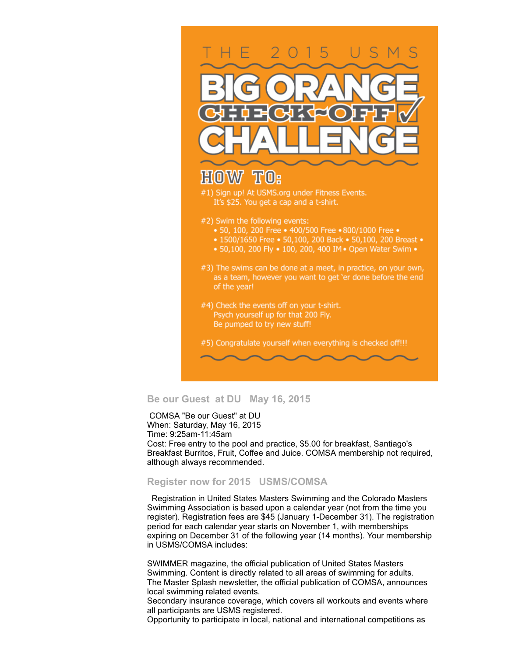

#### <span id="page-10-0"></span>**Be our Guest at DU May 16, 2015**

COMSA "Be our Guest" at DU

When: Saturday, May 16, 2015 Time: 9:25am-11:45am Cost: Free entry to the pool and practice, \$5.00 for breakfast, Santiago's Breakfast Burritos, Fruit, Coffee and Juice. COMSA membership not required, although always recommended.

#### <span id="page-10-1"></span>**Register now for 2015 USMS/COMSA**

Registration in United States Masters Swimming and the Colorado Masters Swimming Association is based upon a calendar year (not from the time you register). Registration fees are \$45 (January 1-December 31). The registration period for each calendar year starts on November 1, with memberships expiring on December 31 of the following year (14 months). Your membership in USMS/COMSA includes:

SWIMMER magazine, the official publication of United States Masters Swimming. Content is directly related to all areas of swimming for adults. The Master Splash newsletter, the official publication of COMSA, announces local swimming related events.

Secondary insurance coverage, which covers all workouts and events where all participants are USMS registered.

Opportunity to participate in local, national and international competitions as